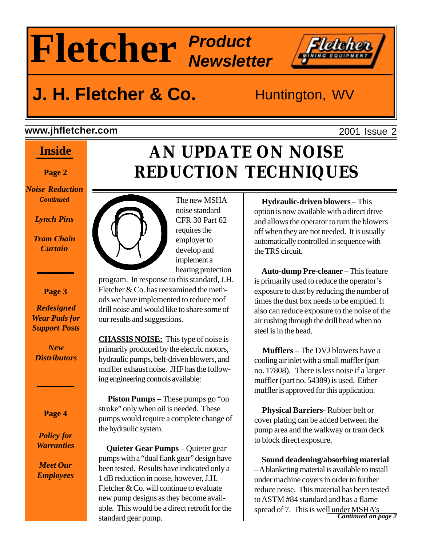# **Fletcher Product Newsletter**

# **J. H. Fletcher & Co.** Huntington, WV

### **www.jhfletcher.com**

### **Inside**

**Page 2**

*Noise Reduction Continued*

*Lynch Pins*

*Tram Chain Curtain*

### **Page 3**

*Redesigned Wear Pads for Support Posts*

*New Distributors*

**Page 4**

*Policy for Warranties*

*Meet Our Employees*



The new MSHA noise standard CFR 30 Part 62 requires the employer to develop and implement a hearing protection

program. In response to this standard, J.H. Fletcher  $\&$  Co. has reexamined the methods we have implemented to reduce roof drill noise and would like to share some of our results and suggestions.

**CHASSIS NOISE:** This type of noise is primarily produced by the electric motors, hydraulic pumps, belt-driven blowers, and muffler exhaust noise. JHF has the following engineering controls available:

 **Piston Pumps** – These pumps go "on stroke" only when oil is needed. These pumps would require a complete change of the hydraulic system.

 **Quieter Gear Pumps** – Quieter gear pumps with a "dual flank gear" design have been tested. Results have indicated only a 1 dB reduction in noise, however, J.H. Fletcher & Co. will continue to evaluate new pump designs as they become available. This would be a direct retrofit for the standard gear pump.

# **AN UPDATE ON NOISE REDUCTION TECHNIQUES**

 **Hydraulic-driven blowers** – This option is now available with a direct drive and allows the operator to turn the blowers off when they are not needed. It is usually automatically controlled in sequence with the TRS circuit.

 **Auto-dump Pre-cleaner** – This feature is primarily used to reduce the operator's exposure to dust by reducing the number of times the dust box needs to be emptied. It also can reduce exposure to the noise of the air rushing through the drill head when no steel is in the head.

 **Mufflers** – The DVJ blowers have a cooling air inlet with a small muffler (part no. 17808). There is less noise if a larger muffler (part no. 54389) is used. Either muffler is approved for this application.

 **Physical Barriers-** Rubber belt or cover plating can be added between the pump area and the walkway or tram deck to block direct exposure.

 **Sound deadening/absorbing material** – A blanketing material is available to install under machine covers in order to further reduce noise. This material has been tested to ASTM #84 standard and has a flame spread of 7. This is well under MSHA's *Continued on page 2*

2001 Issue 2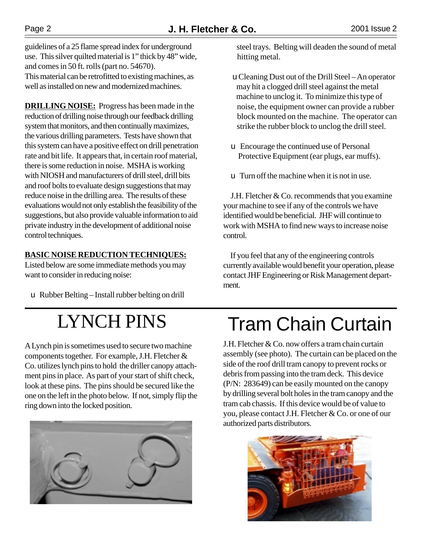guidelines of a 25 flame spread index for underground use. This silver quilted material is 1" thick by 48" wide, and comes in 50 ft. rolls (part no. 54670). This material can be retrofitted to existing machines, as well as installed on new and modernized machines.

**DRILLING NOISE:** Progress has been made in the reduction of drilling noise through our feedback drilling system that monitors, and then continually maximizes, the various drilling parameters. Tests have shown that this system can have a positive effect on drill penetration rate and bit life. It appears that, in certain roof material, there is some reduction in noise. MSHA is working with NIOSH and manufacturers of drill steel, drill bits and roof bolts to evaluate design suggestions that may reduce noise in the drilling area. The results of these evaluations would not only establish the feasibility of the suggestions, but also provide valuable information to aid private industry in the development of additional noise control techniques.

### **BASIC NOISE REDUCTION TECHNIQUES:**

Listed below are some immediate methods you may want to consider in reducing noise:

u Rubber Belting – Install rubber belting on drill

A Lynch pin is sometimes used to secure two machine components together. For example, J.H. Fletcher & Co. utilizes lynch pins to hold the driller canopy attachment pins in place. As part of your start of shift check, look at these pins. The pins should be secured like the one on the left in the photo below. If not, simply flip the ring down into the locked position.



 steel trays. Belting will deaden the sound of metal hitting metal.

 u Cleaning Dust out of the Drill Steel – An operator may hit a clogged drill steel against the metal machine to unclog it. To minimize this type of noise, the equipment owner can provide a rubber block mounted on the machine. The operator can strike the rubber block to unclog the drill steel.

- u Encourage the continued use of Personal Protective Equipment (ear plugs, ear muffs).
- u Turn off the machine when it is not in use.

 J.H. Fletcher & Co. recommends that you examine your machine to see if any of the controls we have identified would be beneficial. JHF will continue to work with MSHA to find new ways to increase noise control.

 If you feel that any of the engineering controls currently available would benefit your operation, please contact JHF Engineering or Risk Management department.

# LYNCH PINS Tram Chain Curtain

J.H. Fletcher & Co. now offers a tram chain curtain assembly (see photo). The curtain can be placed on the side of the roof drill tram canopy to prevent rocks or debris from passing into the tram deck. This device (P/N: 283649) can be easily mounted on the canopy by drilling several bolt holes in the tram canopy and the tram cab chassis. If this device would be of value to you, please contact J.H. Fletcher & Co. or one of our authorized parts distributors.

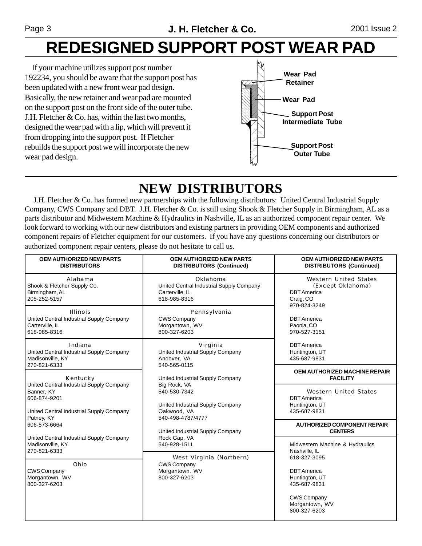# **REDESIGNED SUPPORT POST WEAR PAD**

 If your machine utilizes support post number 192234, you should be aware that the support post has been updated with a new front wear pad design. Basically, the new retainer and wear pad are mounted on the support post on the front side of the outer tube. J.H. Fletcher  $& Co.$  has, within the last two months, designed the wear pad with a lip, which will prevent it from dropping into the support post. If Fletcher rebuilds the support post we will incorporate the new wear pad design.



# **NEW DISTRIBUTORS**

 J.H. Fletcher & Co. has formed new partnerships with the following distributors: United Central Industrial Supply Company, CWS Company and DBT. J.H. Fletcher & Co. is still using Shook & Fletcher Supply in Birmingham, AL as a parts distributor and Midwestern Machine & Hydraulics in Nashville, IL as an authorized component repair center. We look forward to working with our new distributors and existing partners in providing OEM components and authorized component repairs of Fletcher equipment for our customers. If you have any questions concerning our distributors or authorized component repair centers, please do not hesitate to call us.

| <b>OEM AUTHORIZED NEW PARTS</b><br><b>DISTRIBUTORS</b>                                                                                                       | <b>OEM AUTHORIZED NEW PARTS</b><br><b>DISTRIBUTORS (Continued)</b>                                                                                                                                                                                                                                                                                                              | <b>OEM AUTHORIZED NEW PARTS</b><br><b>DISTRIBUTORS (Continued)</b>                                                                                                               |
|--------------------------------------------------------------------------------------------------------------------------------------------------------------|---------------------------------------------------------------------------------------------------------------------------------------------------------------------------------------------------------------------------------------------------------------------------------------------------------------------------------------------------------------------------------|----------------------------------------------------------------------------------------------------------------------------------------------------------------------------------|
| Alabama<br>Shook & Fletcher Supply Co.<br>Birmingham, AL<br>205-252-5157                                                                                     | Oklahoma<br>United Central Industrial Supply Company<br>Carterville, IL<br>618-985-8316                                                                                                                                                                                                                                                                                         | Western United States<br>(Except Oklahoma)<br><b>DBT</b> America<br>Craig, CO<br>970-824-3249<br><b>DBT</b> America<br>Paonia, CO<br>970-527-3151                                |
| <b>Illinois</b><br>United Central Industrial Supply Company<br>Carterville, IL<br>618-985-8316                                                               | Pennsylvania<br><b>CWS Company</b><br>Morgantown, WV<br>800-327-6203                                                                                                                                                                                                                                                                                                            |                                                                                                                                                                                  |
| Indiana<br>United Central Industrial Supply Company<br>Madisonville, KY<br>270-821-6333                                                                      | Virginia<br>United Industrial Supply Company<br>Andover, VA<br>540-565-0115<br>United Industrial Supply Company<br>Big Rock, VA<br>540-530-7342<br>United Industrial Supply Company<br>Oakwood, VA<br>540-498-4787/4777<br>United Industrial Supply Company<br>Rock Gap, VA<br>540-928-1511<br>West Virginia (Northern)<br><b>CWS Company</b><br>Morgantown, WV<br>800-327-6203 | <b>DBT</b> America<br>Huntington, UT<br>435-687-9831                                                                                                                             |
| Kentucky<br>United Central Industrial Supply Company<br>Banner, KY<br>606-874-9201<br>United Central Industrial Supply Company<br>Putney, KY<br>606-573-6664 |                                                                                                                                                                                                                                                                                                                                                                                 | <b>OEM AUTHORIZED MACHINE REPAIR</b><br><b>FACILITY</b>                                                                                                                          |
|                                                                                                                                                              |                                                                                                                                                                                                                                                                                                                                                                                 | Western United States<br><b>DBT</b> America<br>Huntington, UT<br>435-687-9831                                                                                                    |
|                                                                                                                                                              |                                                                                                                                                                                                                                                                                                                                                                                 | <b>AUTHORIZED COMPONENT REPAIR</b><br><b>CENTERS</b>                                                                                                                             |
| United Central Industrial Supply Company<br>Madisonville, KY<br>270-821-6333<br>Ohio<br><b>CWS Company</b><br>Morgantown, WV<br>800-327-6203                 |                                                                                                                                                                                                                                                                                                                                                                                 | Midwestern Machine & Hydraulics<br>Nashville, IL<br>618-327-3095<br><b>DBT</b> America<br>Huntington, UT<br>435-687-9831<br><b>CWS Company</b><br>Morgantown, WV<br>800-327-6203 |